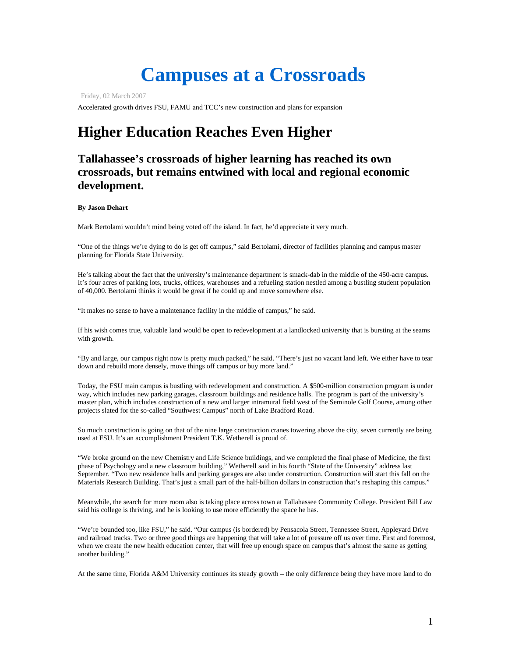# **Campuses at a Crossroads**

Friday, 02 March 2007

Accelerated growth drives FSU, FAMU and TCC's new construction and plans for expansion

## **Higher Education Reaches Even Higher**

### **Tallahassee's crossroads of higher learning has reached its own crossroads, but remains entwined with local and regional economic development.**

#### **By Jason Dehart**

Mark Bertolami wouldn't mind being voted off the island. In fact, he'd appreciate it very much.

"One of the things we're dying to do is get off campus," said Bertolami, director of facilities planning and campus master planning for Florida State University.

He's talking about the fact that the university's maintenance department is smack-dab in the middle of the 450-acre campus. It's four acres of parking lots, trucks, offices, warehouses and a refueling station nestled among a bustling student population of 40,000. Bertolami thinks it would be great if he could up and move somewhere else.

"It makes no sense to have a maintenance facility in the middle of campus," he said.

If his wish comes true, valuable land would be open to redevelopment at a landlocked university that is bursting at the seams with growth.

"By and large, our campus right now is pretty much packed," he said. "There's just no vacant land left. We either have to tear down and rebuild more densely, move things off campus or buy more land."

Today, the FSU main campus is bustling with redevelopment and construction. A \$500-million construction program is under way, which includes new parking garages, classroom buildings and residence halls. The program is part of the university's master plan, which includes construction of a new and larger intramural field west of the Seminole Golf Course, among other projects slated for the so-called "Southwest Campus" north of Lake Bradford Road.

So much construction is going on that of the nine large construction cranes towering above the city, seven currently are being used at FSU. It's an accomplishment President T.K. Wetherell is proud of.

"We broke ground on the new Chemistry and Life Science buildings, and we completed the final phase of Medicine, the first phase of Psychology and a new classroom building," Wetherell said in his fourth "State of the University" address last September. "Two new residence halls and parking garages are also under construction. Construction will start this fall on the Materials Research Building. That's just a small part of the half-billion dollars in construction that's reshaping this campus."

Meanwhile, the search for more room also is taking place across town at Tallahassee Community College. President Bill Law said his college is thriving, and he is looking to use more efficiently the space he has.

"We're bounded too, like FSU," he said. "Our campus (is bordered) by Pensacola Street, Tennessee Street, Appleyard Drive and railroad tracks. Two or three good things are happening that will take a lot of pressure off us over time. First and foremost, when we create the new health education center, that will free up enough space on campus that's almost the same as getting another building."

At the same time, Florida A&M University continues its steady growth – the only difference being they have more land to do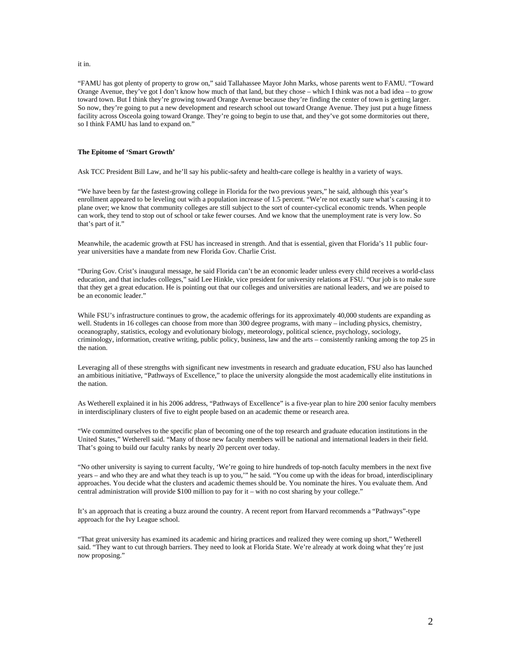#### it in.

"FAMU has got plenty of property to grow on," said Tallahassee Mayor John Marks, whose parents went to FAMU. "Toward Orange Avenue, they've got I don't know how much of that land, but they chose – which I think was not a bad idea – to grow toward town. But I think they're growing toward Orange Avenue because they're finding the center of town is getting larger. So now, they're going to put a new development and research school out toward Orange Avenue. They just put a huge fitness facility across Osceola going toward Orange. They're going to begin to use that, and they've got some dormitories out there, so I think FAMU has land to expand on."

#### **The Epitome of 'Smart Growth'**

Ask TCC President Bill Law, and he'll say his public-safety and health-care college is healthy in a variety of ways.

"We have been by far the fastest-growing college in Florida for the two previous years," he said, although this year's enrollment appeared to be leveling out with a population increase of 1.5 percent. "We're not exactly sure what's causing it to plane over; we know that community colleges are still subject to the sort of counter-cyclical economic trends. When people can work, they tend to stop out of school or take fewer courses. And we know that the unemployment rate is very low. So that's part of it."

Meanwhile, the academic growth at FSU has increased in strength. And that is essential, given that Florida's 11 public fouryear universities have a mandate from new Florida Gov. Charlie Crist.

"During Gov. Crist's inaugural message, he said Florida can't be an economic leader unless every child receives a world-class education, and that includes colleges," said Lee Hinkle, vice president for university relations at FSU. "Our job is to make sure that they get a great education. He is pointing out that our colleges and universities are national leaders, and we are poised to be an economic leader."

While FSU's infrastructure continues to grow, the academic offerings for its approximately 40,000 students are expanding as well. Students in 16 colleges can choose from more than 300 degree programs, with many – including physics, chemistry, oceanography, statistics, ecology and evolutionary biology, meteorology, political science, psychology, sociology, criminology, information, creative writing, public policy, business, law and the arts – consistently ranking among the top 25 in the nation.

Leveraging all of these strengths with significant new investments in research and graduate education, FSU also has launched an ambitious initiative, "Pathways of Excellence," to place the university alongside the most academically elite institutions in the nation.

As Wetherell explained it in his 2006 address, "Pathways of Excellence" is a five-year plan to hire 200 senior faculty members in interdisciplinary clusters of five to eight people based on an academic theme or research area.

"We committed ourselves to the specific plan of becoming one of the top research and graduate education institutions in the United States," Wetherell said. "Many of those new faculty members will be national and international leaders in their field. That's going to build our faculty ranks by nearly 20 percent over today.

"No other university is saying to current faculty, 'We're going to hire hundreds of top-notch faculty members in the next five years – and who they are and what they teach is up to you,'" he said. "You come up with the ideas for broad, interdisciplinary approaches. You decide what the clusters and academic themes should be. You nominate the hires. You evaluate them. And central administration will provide \$100 million to pay for it – with no cost sharing by your college."

It's an approach that is creating a buzz around the country. A recent report from Harvard recommends a "Pathways"-type approach for the Ivy League school.

"That great university has examined its academic and hiring practices and realized they were coming up short," Wetherell said. "They want to cut through barriers. They need to look at Florida State. We're already at work doing what they're just now proposing."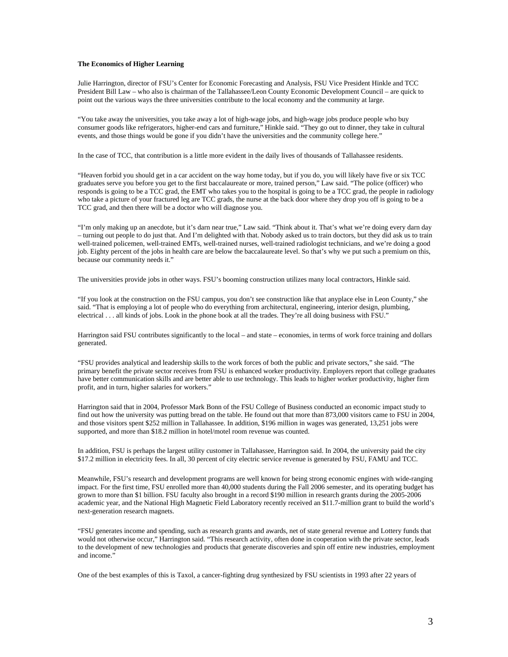#### **The Economics of Higher Learning**

Julie Harrington, director of FSU's Center for Economic Forecasting and Analysis, FSU Vice President Hinkle and TCC President Bill Law – who also is chairman of the Tallahassee/Leon County Economic Development Council – are quick to point out the various ways the three universities contribute to the local economy and the community at large.

"You take away the universities, you take away a lot of high-wage jobs, and high-wage jobs produce people who buy consumer goods like refrigerators, higher-end cars and furniture," Hinkle said. "They go out to dinner, they take in cultural events, and those things would be gone if you didn't have the universities and the community college here."

In the case of TCC, that contribution is a little more evident in the daily lives of thousands of Tallahassee residents.

"Heaven forbid you should get in a car accident on the way home today, but if you do, you will likely have five or six TCC graduates serve you before you get to the first baccalaureate or more, trained person," Law said. "The police (officer) who responds is going to be a TCC grad, the EMT who takes you to the hospital is going to be a TCC grad, the people in radiology who take a picture of your fractured leg are TCC grads, the nurse at the back door where they drop you off is going to be a TCC grad, and then there will be a doctor who will diagnose you.

"I'm only making up an anecdote, but it's darn near true," Law said. "Think about it. That's what we're doing every darn day – turning out people to do just that. And I'm delighted with that. Nobody asked us to train doctors, but they did ask us to train well-trained policemen, well-trained EMTs, well-trained nurses, well-trained radiologist technicians, and we're doing a good job. Eighty percent of the jobs in health care are below the baccalaureate level. So that's why we put such a premium on this, because our community needs it."

The universities provide jobs in other ways. FSU's booming construction utilizes many local contractors, Hinkle said.

"If you look at the construction on the FSU campus, you don't see construction like that anyplace else in Leon County," she said. "That is employing a lot of people who do everything from architectural, engineering, interior design, plumbing, electrical . . . all kinds of jobs. Look in the phone book at all the trades. They're all doing business with FSU."

Harrington said FSU contributes significantly to the local – and state – economies, in terms of work force training and dollars generated.

"FSU provides analytical and leadership skills to the work forces of both the public and private sectors," she said. "The primary benefit the private sector receives from FSU is enhanced worker productivity. Employers report that college graduates have better communication skills and are better able to use technology. This leads to higher worker productivity, higher firm profit, and in turn, higher salaries for workers."

Harrington said that in 2004, Professor Mark Bonn of the FSU College of Business conducted an economic impact study to find out how the university was putting bread on the table. He found out that more than 873,000 visitors came to FSU in 2004, and those visitors spent \$252 million in Tallahassee. In addition, \$196 million in wages was generated, 13,251 jobs were supported, and more than \$18.2 million in hotel/motel room revenue was counted.

In addition, FSU is perhaps the largest utility customer in Tallahassee, Harrington said. In 2004, the university paid the city \$17.2 million in electricity fees. In all, 30 percent of city electric service revenue is generated by FSU, FAMU and TCC.

Meanwhile, FSU's research and development programs are well known for being strong economic engines with wide-ranging impact. For the first time, FSU enrolled more than 40,000 students during the Fall 2006 semester, and its operating budget has grown to more than \$1 billion. FSU faculty also brought in a record \$190 million in research grants during the 2005-2006 academic year, and the National High Magnetic Field Laboratory recently received an \$11.7-million grant to build the world's next-generation research magnets.

"FSU generates income and spending, such as research grants and awards, net of state general revenue and Lottery funds that would not otherwise occur," Harrington said. "This research activity, often done in cooperation with the private sector, leads to the development of new technologies and products that generate discoveries and spin off entire new industries, employment and income."

One of the best examples of this is Taxol, a cancer-fighting drug synthesized by FSU scientists in 1993 after 22 years of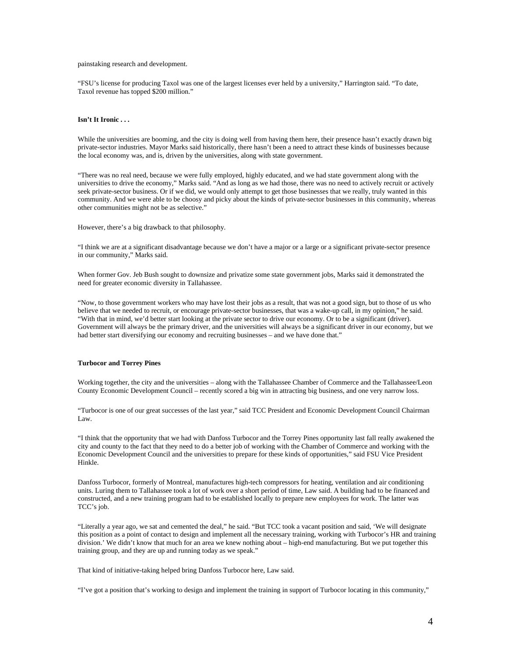#### painstaking research and development.

"FSU's license for producing Taxol was one of the largest licenses ever held by a university," Harrington said. "To date, Taxol revenue has topped \$200 million."

#### **Isn't It Ironic . . .**

While the universities are booming, and the city is doing well from having them here, their presence hasn't exactly drawn big private-sector industries. Mayor Marks said historically, there hasn't been a need to attract these kinds of businesses because the local economy was, and is, driven by the universities, along with state government.

"There was no real need, because we were fully employed, highly educated, and we had state government along with the universities to drive the economy," Marks said. "And as long as we had those, there was no need to actively recruit or actively seek private-sector business. Or if we did, we would only attempt to get those businesses that we really, truly wanted in this community. And we were able to be choosy and picky about the kinds of private-sector businesses in this community, whereas other communities might not be as selective."

However, there's a big drawback to that philosophy.

"I think we are at a significant disadvantage because we don't have a major or a large or a significant private-sector presence in our community," Marks said.

When former Gov. Jeb Bush sought to downsize and privatize some state government jobs, Marks said it demonstrated the need for greater economic diversity in Tallahassee.

"Now, to those government workers who may have lost their jobs as a result, that was not a good sign, but to those of us who believe that we needed to recruit, or encourage private-sector businesses, that was a wake-up call, in my opinion," he said. "With that in mind, we'd better start looking at the private sector to drive our economy. Or to be a significant (driver). Government will always be the primary driver, and the universities will always be a significant driver in our economy, but we had better start diversifying our economy and recruiting businesses – and we have done that."

#### **Turbocor and Torrey Pines**

Working together, the city and the universities – along with the Tallahassee Chamber of Commerce and the Tallahassee/Leon County Economic Development Council – recently scored a big win in attracting big business, and one very narrow loss.

"Turbocor is one of our great successes of the last year," said TCC President and Economic Development Council Chairman Law.

"I think that the opportunity that we had with Danfoss Turbocor and the Torrey Pines opportunity last fall really awakened the city and county to the fact that they need to do a better job of working with the Chamber of Commerce and working with the Economic Development Council and the universities to prepare for these kinds of opportunities," said FSU Vice President Hinkle.

Danfoss Turbocor, formerly of Montreal, manufactures high-tech compressors for heating, ventilation and air conditioning units. Luring them to Tallahassee took a lot of work over a short period of time, Law said. A building had to be financed and constructed, and a new training program had to be established locally to prepare new employees for work. The latter was TCC's job.

"Literally a year ago, we sat and cemented the deal," he said. "But TCC took a vacant position and said, 'We will designate this position as a point of contact to design and implement all the necessary training, working with Turbocor's HR and training division.' We didn't know that much for an area we knew nothing about – high-end manufacturing. But we put together this training group, and they are up and running today as we speak."

That kind of initiative-taking helped bring Danfoss Turbocor here, Law said.

"I've got a position that's working to design and implement the training in support of Turbocor locating in this community,"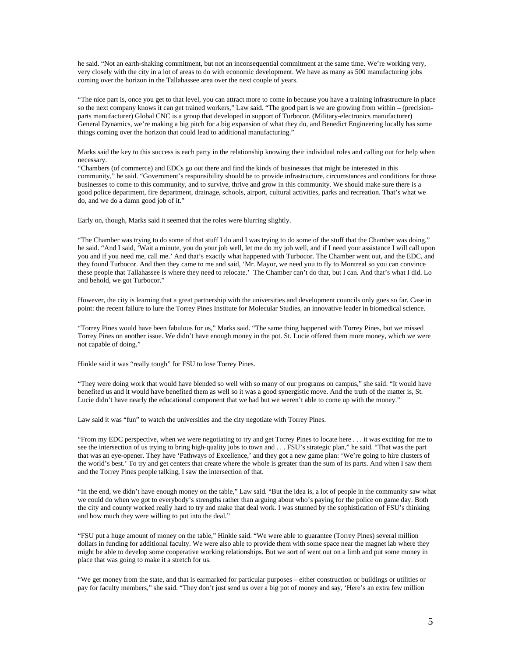he said. "Not an earth-shaking commitment, but not an inconsequential commitment at the same time. We're working very, very closely with the city in a lot of areas to do with economic development. We have as many as 500 manufacturing jobs coming over the horizon in the Tallahassee area over the next couple of years.

"The nice part is, once you get to that level, you can attract more to come in because you have a training infrastructure in place so the next company knows it can get trained workers," Law said. "The good part is we are growing from within – (precisionparts manufacturer) Global CNC is a group that developed in support of Turbocor. (Military-electronics manufacturer) General Dynamics, we're making a big pitch for a big expansion of what they do, and Benedict Engineering locally has some things coming over the horizon that could lead to additional manufacturing."

Marks said the key to this success is each party in the relationship knowing their individual roles and calling out for help when necessary.

"Chambers (of commerce) and EDCs go out there and find the kinds of businesses that might be interested in this community," he said. "Government's responsibility should be to provide infrastructure, circumstances and conditions for those businesses to come to this community, and to survive, thrive and grow in this community. We should make sure there is a good police department, fire department, drainage, schools, airport, cultural activities, parks and recreation. That's what we do, and we do a damn good job of it."

Early on, though, Marks said it seemed that the roles were blurring slightly.

"The Chamber was trying to do some of that stuff I do and I was trying to do some of the stuff that the Chamber was doing," he said. "And I said, 'Wait a minute, you do your job well, let me do my job well, and if I need your assistance I will call upon you and if you need me, call me.' And that's exactly what happened with Turbocor. The Chamber went out, and the EDC, and they found Turbocor. And then they came to me and said, 'Mr. Mayor, we need you to fly to Montreal so you can convince these people that Tallahassee is where they need to relocate.' The Chamber can't do that, but I can. And that's what I did. Lo and behold, we got Turbocor."

However, the city is learning that a great partnership with the universities and development councils only goes so far. Case in point: the recent failure to lure the Torrey Pines Institute for Molecular Studies, an innovative leader in biomedical science.

"Torrey Pines would have been fabulous for us," Marks said. "The same thing happened with Torrey Pines, but we missed Torrey Pines on another issue. We didn't have enough money in the pot. St. Lucie offered them more money, which we were not capable of doing."

Hinkle said it was "really tough" for FSU to lose Torrey Pines.

"They were doing work that would have blended so well with so many of our programs on campus," she said. "It would have benefited us and it would have benefited them as well so it was a good synergistic move. And the truth of the matter is, St. Lucie didn't have nearly the educational component that we had but we weren't able to come up with the money."

Law said it was "fun" to watch the universities and the city negotiate with Torrey Pines.

"From my EDC perspective, when we were negotiating to try and get Torrey Pines to locate here . . . it was exciting for me to see the intersection of us trying to bring high-quality jobs to town and . . . FSU's strategic plan," he said. "That was the part that was an eye-opener. They have 'Pathways of Excellence,' and they got a new game plan: 'We're going to hire clusters of the world's best.' To try and get centers that create where the whole is greater than the sum of its parts. And when I saw them and the Torrey Pines people talking, I saw the intersection of that.

"In the end, we didn't have enough money on the table," Law said. "But the idea is, a lot of people in the community saw what we could do when we got to everybody's strengths rather than arguing about who's paying for the police on game day. Both the city and county worked really hard to try and make that deal work. I was stunned by the sophistication of FSU's thinking and how much they were willing to put into the deal."

"FSU put a huge amount of money on the table," Hinkle said. "We were able to guarantee (Torrey Pines) several million dollars in funding for additional faculty. We were also able to provide them with some space near the magnet lab where they might be able to develop some cooperative working relationships. But we sort of went out on a limb and put some money in place that was going to make it a stretch for us.

"We get money from the state, and that is earmarked for particular purposes – either construction or buildings or utilities or pay for faculty members," she said. "They don't just send us over a big pot of money and say, 'Here's an extra few million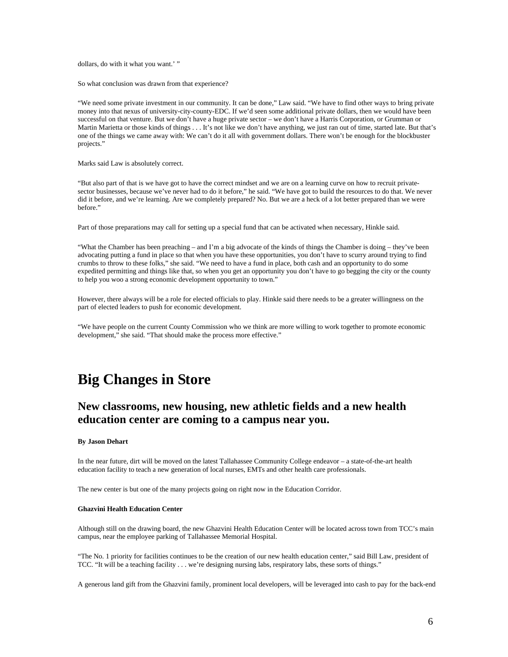dollars, do with it what you want.' "

So what conclusion was drawn from that experience?

"We need some private investment in our community. It can be done," Law said. "We have to find other ways to bring private money into that nexus of university-city-county-EDC. If we'd seen some additional private dollars, then we would have been successful on that venture. But we don't have a huge private sector – we don't have a Harris Corporation, or Grumman or Martin Marietta or those kinds of things . . . It's not like we don't have anything, we just ran out of time, started late. But that's one of the things we came away with: We can't do it all with government dollars. There won't be enough for the blockbuster projects."

Marks said Law is absolutely correct.

"But also part of that is we have got to have the correct mindset and we are on a learning curve on how to recruit privatesector businesses, because we've never had to do it before," he said. "We have got to build the resources to do that. We never did it before, and we're learning. Are we completely prepared? No. But we are a heck of a lot better prepared than we were before."

Part of those preparations may call for setting up a special fund that can be activated when necessary, Hinkle said.

"What the Chamber has been preaching – and I'm a big advocate of the kinds of things the Chamber is doing – they've been advocating putting a fund in place so that when you have these opportunities, you don't have to scurry around trying to find crumbs to throw to these folks," she said. "We need to have a fund in place, both cash and an opportunity to do some expedited permitting and things like that, so when you get an opportunity you don't have to go begging the city or the county to help you woo a strong economic development opportunity to town."

However, there always will be a role for elected officials to play. Hinkle said there needs to be a greater willingness on the part of elected leaders to push for economic development.

"We have people on the current County Commission who we think are more willing to work together to promote economic development," she said. "That should make the process more effective."

## **Big Changes in Store**

### **New classrooms, new housing, new athletic fields and a new health education center are coming to a campus near you.**

#### **By Jason Dehart**

In the near future, dirt will be moved on the latest Tallahassee Community College endeavor – a state-of-the-art health education facility to teach a new generation of local nurses, EMTs and other health care professionals.

The new center is but one of the many projects going on right now in the Education Corridor.

#### **Ghazvini Health Education Center**

Although still on the drawing board, the new Ghazvini Health Education Center will be located across town from TCC's main campus, near the employee parking of Tallahassee Memorial Hospital.

"The No. 1 priority for facilities continues to be the creation of our new health education center," said Bill Law, president of TCC. "It will be a teaching facility . . . we're designing nursing labs, respiratory labs, these sorts of things."

A generous land gift from the Ghazvini family, prominent local developers, will be leveraged into cash to pay for the back-end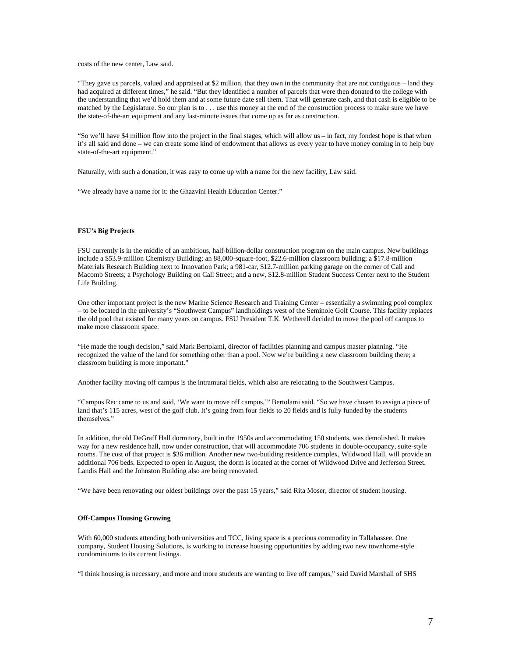costs of the new center, Law said.

"They gave us parcels, valued and appraised at \$2 million, that they own in the community that are not contiguous – land they had acquired at different times," he said. "But they identified a number of parcels that were then donated to the college with the understanding that we'd hold them and at some future date sell them. That will generate cash, and that cash is eligible to be matched by the Legislature. So our plan is to . . . use this money at the end of the construction process to make sure we have the state-of-the-art equipment and any last-minute issues that come up as far as construction.

"So we'll have \$4 million flow into the project in the final stages, which will allow us – in fact, my fondest hope is that when it's all said and done – we can create some kind of endowment that allows us every year to have money coming in to help buy state-of-the-art equipment."

Naturally, with such a donation, it was easy to come up with a name for the new facility, Law said.

"We already have a name for it: the Ghazvini Health Education Center."

#### **FSU's Big Projects**

FSU currently is in the middle of an ambitious, half-billion-dollar construction program on the main campus. New buildings include a \$53.9-million Chemistry Building; an 88,000-square-foot, \$22.6-million classroom building; a \$17.8-million Materials Research Building next to Innovation Park; a 981-car, \$12.7-million parking garage on the corner of Call and Macomb Streets; a Psychology Building on Call Street; and a new, \$12.8-million Student Success Center next to the Student Life Building.

One other important project is the new Marine Science Research and Training Center – essentially a swimming pool complex – to be located in the university's "Southwest Campus" landholdings west of the Seminole Golf Course. This facility replaces the old pool that existed for many years on campus. FSU President T.K. Wetherell decided to move the pool off campus to make more classroom space.

"He made the tough decision," said Mark Bertolami, director of facilities planning and campus master planning. "He recognized the value of the land for something other than a pool. Now we're building a new classroom building there; a classroom building is more important."

Another facility moving off campus is the intramural fields, which also are relocating to the Southwest Campus.

"Campus Rec came to us and said, 'We want to move off campus,'" Bertolami said. "So we have chosen to assign a piece of land that's 115 acres, west of the golf club. It's going from four fields to 20 fields and is fully funded by the students themselves."

In addition, the old DeGraff Hall dormitory, built in the 1950s and accommodating 150 students, was demolished. It makes way for a new residence hall, now under construction, that will accommodate 706 students in double-occupancy, suite-style rooms. The cost of that project is \$36 million. Another new two-building residence complex, Wildwood Hall, will provide an additional 706 beds. Expected to open in August, the dorm is located at the corner of Wildwood Drive and Jefferson Street. Landis Hall and the Johnston Building also are being renovated.

"We have been renovating our oldest buildings over the past 15 years," said Rita Moser, director of student housing.

#### **Off-Campus Housing Growing**

With 60,000 students attending both universities and TCC, living space is a precious commodity in Tallahassee. One company, Student Housing Solutions, is working to increase housing opportunities by adding two new townhome-style condominiums to its current listings.

"I think housing is necessary, and more and more students are wanting to live off campus," said David Marshall of SHS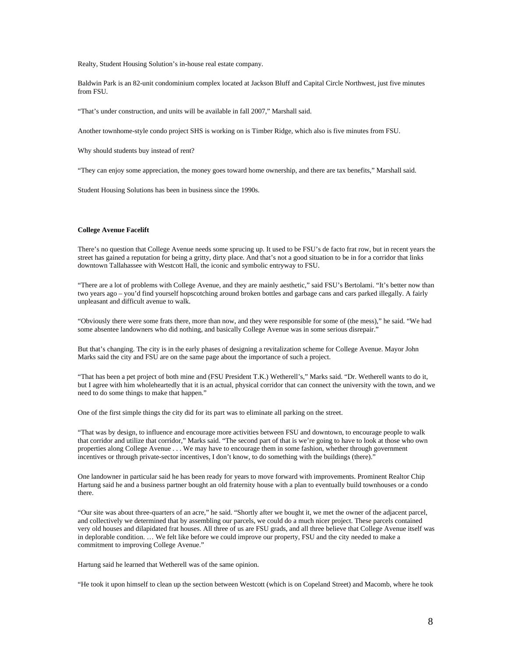Realty, Student Housing Solution's in-house real estate company.

Baldwin Park is an 82-unit condominium complex located at Jackson Bluff and Capital Circle Northwest, just five minutes from FSU.

"That's under construction, and units will be available in fall 2007," Marshall said.

Another townhome-style condo project SHS is working on is Timber Ridge, which also is five minutes from FSU.

Why should students buy instead of rent?

"They can enjoy some appreciation, the money goes toward home ownership, and there are tax benefits," Marshall said.

Student Housing Solutions has been in business since the 1990s.

#### **College Avenue Facelift**

There's no question that College Avenue needs some sprucing up. It used to be FSU's de facto frat row, but in recent years the street has gained a reputation for being a gritty, dirty place. And that's not a good situation to be in for a corridor that links downtown Tallahassee with Westcott Hall, the iconic and symbolic entryway to FSU.

"There are a lot of problems with College Avenue, and they are mainly aesthetic," said FSU's Bertolami. "It's better now than two years ago – you'd find yourself hopscotching around broken bottles and garbage cans and cars parked illegally. A fairly unpleasant and difficult avenue to walk.

"Obviously there were some frats there, more than now, and they were responsible for some of (the mess)," he said. "We had some absentee landowners who did nothing, and basically College Avenue was in some serious disrepair."

But that's changing. The city is in the early phases of designing a revitalization scheme for College Avenue. Mayor John Marks said the city and FSU are on the same page about the importance of such a project.

"That has been a pet project of both mine and (FSU President T.K.) Wetherell's," Marks said. "Dr. Wetherell wants to do it, but I agree with him wholeheartedly that it is an actual, physical corridor that can connect the university with the town, and we need to do some things to make that happen."

One of the first simple things the city did for its part was to eliminate all parking on the street.

"That was by design, to influence and encourage more activities between FSU and downtown, to encourage people to walk that corridor and utilize that corridor," Marks said. "The second part of that is we're going to have to look at those who own properties along College Avenue . . . We may have to encourage them in some fashion, whether through government incentives or through private-sector incentives, I don't know, to do something with the buildings (there)."

One landowner in particular said he has been ready for years to move forward with improvements. Prominent Realtor Chip Hartung said he and a business partner bought an old fraternity house with a plan to eventually build townhouses or a condo there.

"Our site was about three-quarters of an acre," he said. "Shortly after we bought it, we met the owner of the adjacent parcel, and collectively we determined that by assembling our parcels, we could do a much nicer project. These parcels contained very old houses and dilapidated frat houses. All three of us are FSU grads, and all three believe that College Avenue itself was in deplorable condition. … We felt like before we could improve our property, FSU and the city needed to make a commitment to improving College Avenue."

Hartung said he learned that Wetherell was of the same opinion.

"He took it upon himself to clean up the section between Westcott (which is on Copeland Street) and Macomb, where he took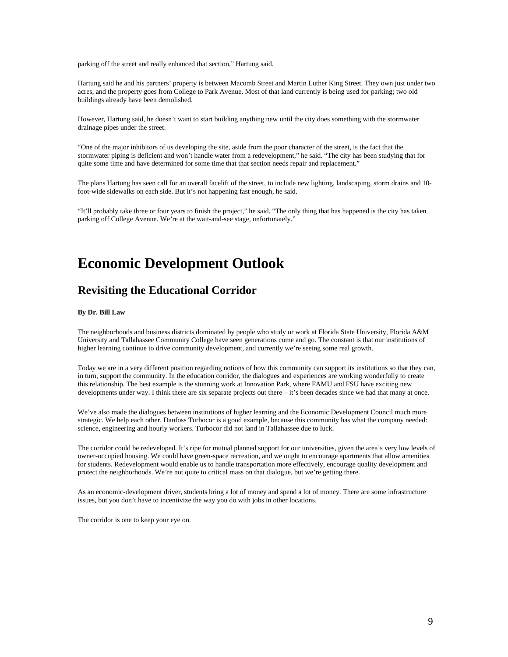parking off the street and really enhanced that section," Hartung said.

Hartung said he and his partners' property is between Macomb Street and Martin Luther King Street. They own just under two acres, and the property goes from College to Park Avenue. Most of that land currently is being used for parking; two old buildings already have been demolished.

However, Hartung said, he doesn't want to start building anything new until the city does something with the stormwater drainage pipes under the street.

"One of the major inhibitors of us developing the site, aside from the poor character of the street, is the fact that the stormwater piping is deficient and won't handle water from a redevelopment," he said. "The city has been studying that for quite some time and have determined for some time that that section needs repair and replacement."

The plans Hartung has seen call for an overall facelift of the street, to include new lighting, landscaping, storm drains and 10 foot-wide sidewalks on each side. But it's not happening fast enough, he said.

"It'll probably take three or four years to finish the project," he said. "The only thing that has happened is the city has taken parking off College Avenue. We're at the wait-and-see stage, unfortunately.'

### **Economic Development Outlook**

### **Revisiting the Educational Corridor**

#### **By Dr. Bill Law**

The neighborhoods and business districts dominated by people who study or work at Florida State University, Florida A&M University and Tallahassee Community College have seen generations come and go. The constant is that our institutions of higher learning continue to drive community development, and currently we're seeing some real growth.

Today we are in a very different position regarding notions of how this community can support its institutions so that they can, in turn, support the community. In the education corridor, the dialogues and experiences are working wonderfully to create this relationship. The best example is the stunning work at Innovation Park, where FAMU and FSU have exciting new developments under way. I think there are six separate projects out there – it's been decades since we had that many at once.

We've also made the dialogues between institutions of higher learning and the Economic Development Council much more strategic. We help each other. Danfoss Turbocor is a good example, because this community has what the company needed: science, engineering and hourly workers. Turbocor did not land in Tallahassee due to luck.

The corridor could be redeveloped. It's ripe for mutual planned support for our universities, given the area's very low levels of owner-occupied housing. We could have green-space recreation, and we ought to encourage apartments that allow amenities for students. Redevelopment would enable us to handle transportation more effectively, encourage quality development and protect the neighborhoods. We're not quite to critical mass on that dialogue, but we're getting there.

As an economic-development driver, students bring a lot of money and spend a lot of money. There are some infrastructure issues, but you don't have to incentivize the way you do with jobs in other locations.

The corridor is one to keep your eye on.